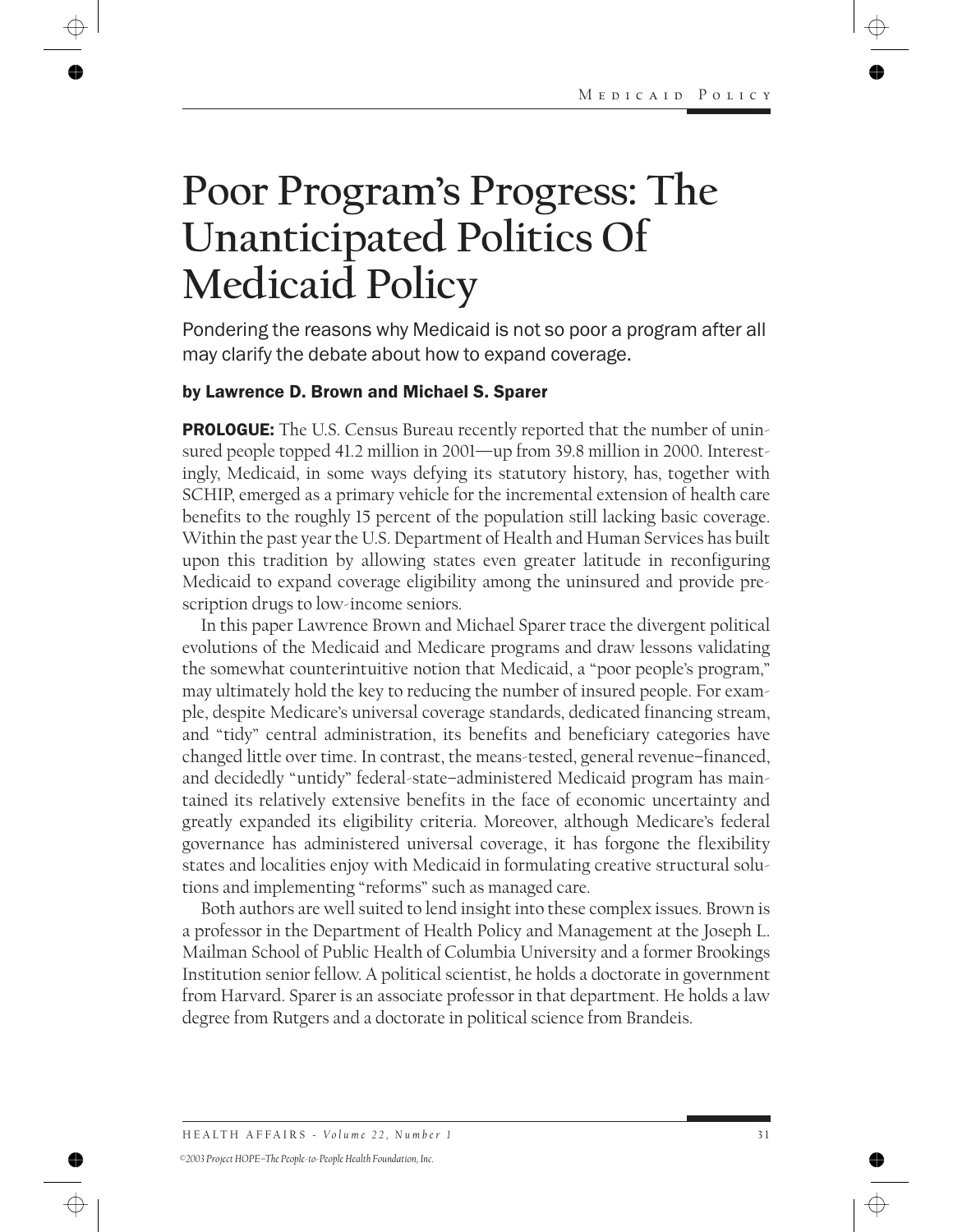# **Poor Program's Progress: The Unanticipated Politics Of Medicaid Policy**

Pondering the reasons why Medicaid is not so poor a program after all may clarify the debate about how to expand coverage.

### by Lawrence D. Brown and Michael S. Sparer

**PROLOGUE:** The U.S. Census Bureau recently reported that the number of uninsured people topped 41.2 million in 2001—up from 39.8 million in 2000. Interestingly, Medicaid, in some ways defying its statutory history, has, together with SCHIP, emerged as a primary vehicle for the incremental extension of health care benefits to the roughly 15 percent of the population still lacking basic coverage. Within the past year the U.S. Department of Health and Human Services has built upon this tradition by allowing states even greater latitude in reconfiguring Medicaid to expand coverage eligibility among the uninsured and provide prescription drugs to low-income seniors.

In this paper Lawrence Brown and Michael Sparer trace the divergent political evolutions of the Medicaid and Medicare programs and draw lessons validating the somewhat counterintuitive notion that Medicaid, a "poor people's program," may ultimately hold the key to reducing the number of insured people. For example, despite Medicare's universal coverage standards, dedicated financing stream, and "tidy" central administration, its benefits and beneficiary categories have changed little over time. In contrast, the means-tested, general revenue–financed, and decidedly "untidy" federal-state–administered Medicaid program has maintained its relatively extensive benefits in the face of economic uncertainty and greatly expanded its eligibility criteria. Moreover, although Medicare's federal governance has administered universal coverage, it has forgone the flexibility states and localities enjoy with Medicaid in formulating creative structural solutions and implementing "reforms" such as managed care.

Both authors are well suited to lend insight into these complex issues. Brown is a professor in the Department of Health Policy and Management at the Joseph L. Mailman School of Public Health of Columbia University and a former Brookings Institution senior fellow. A political scientist, he holds a doctorate in government from Harvard. Sparer is an associate professor in that department. He holds a law degree from Rutgers and a doctorate in political science from Brandeis.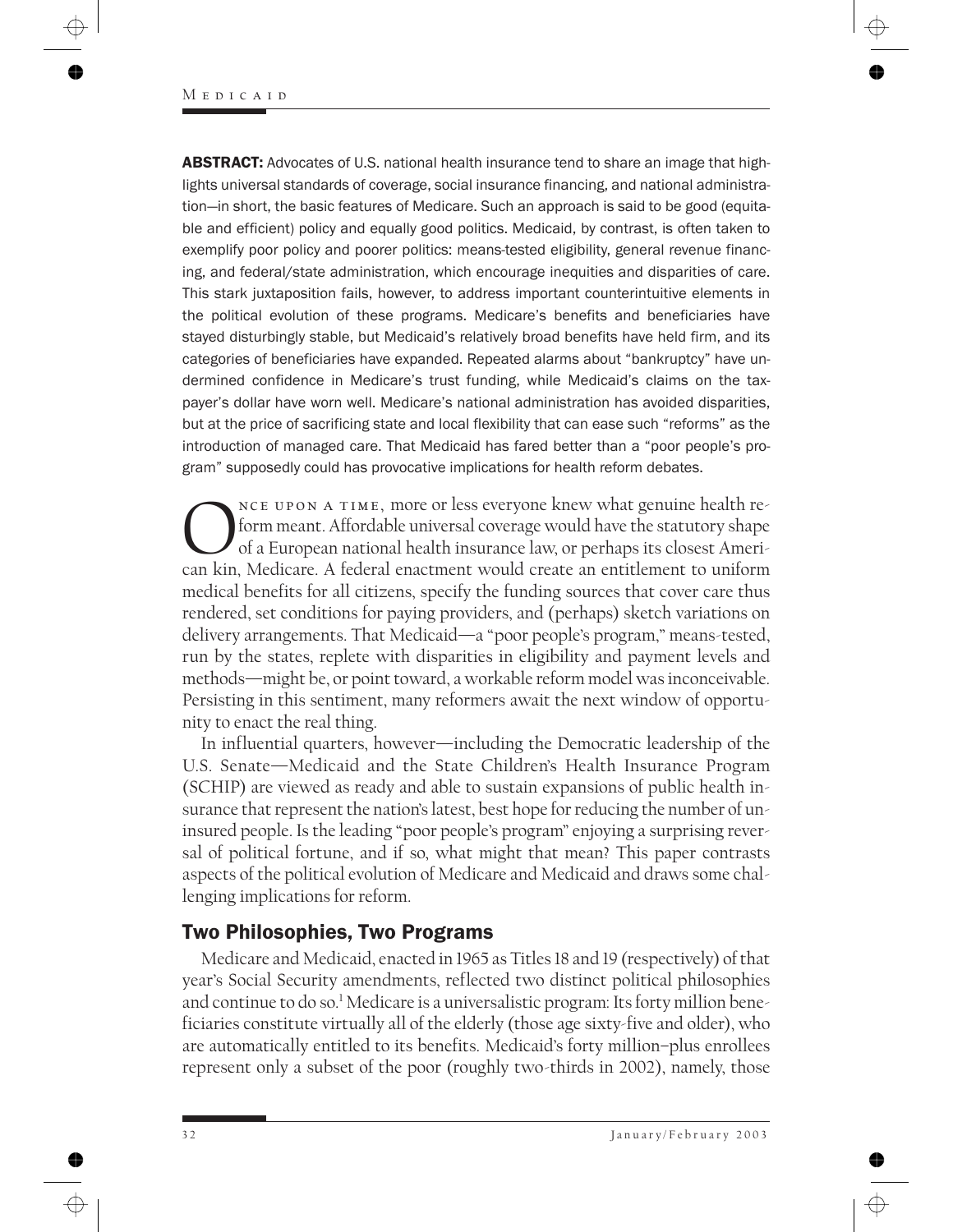**ABSTRACT:** Advocates of U.S. national health insurance tend to share an image that highlights universal standards of coverage, social insurance financing, and national administration—in short, the basic features of Medicare. Such an approach is said to be good (equitable and efficient) policy and equally good politics. Medicaid, by contrast, is often taken to exemplify poor policy and poorer politics: means-tested eligibility, general revenue financing, and federal/state administration, which encourage inequities and disparities of care. This stark juxtaposition fails, however, to address important counterintuitive elements in the political evolution of these programs. Medicare's benefits and beneficiaries have stayed disturbingly stable, but Medicaid's relatively broad benefits have held firm, and its categories of beneficiaries have expanded. Repeated alarms about "bankruptcy" have undermined confidence in Medicare's trust funding, while Medicaid's claims on the taxpayer's dollar have worn well. Medicare's national administration has avoided disparities, but at the price of sacrificing state and local flexibility that can ease such "reforms" as the introduction of managed care. That Medicaid has fared better than a "poor people's program" supposedly could has provocative implications for health reform debates.

NCE UPON A TIME, more or less everyone knew what genuine health re-<br>form meant. Affordable universal coverage would have the statutory shape<br>of a European national health insurance law, or perhaps its closest Ameri-<br>can ki form meant. Affordable universal coverage would have the statutory shape of a European national health insurance law, or perhaps its closest American kin, Medicare. A federal enactment would create an entitlement to uniform medical benefits for all citizens, specify the funding sources that cover care thus rendered, set conditions for paying providers, and (perhaps) sketch variations on delivery arrangements. That Medicaid—a "poor people's program," means-tested, run by the states, replete with disparities in eligibility and payment levels and methods—might be, or point toward, a workable reform model was inconceivable. Persisting in this sentiment, many reformers await the next window of opportunity to enact the real thing.

In influential quarters, however—including the Democratic leadership of the U.S. Senate—Medicaid and the State Children's Health Insurance Program (SCHIP) are viewed as ready and able to sustain expansions of public health insurance that represent the nation's latest, best hope for reducing the number of uninsured people. Is the leading "poor people's program" enjoying a surprising reversal of political fortune, and if so, what might that mean? This paper contrasts aspects of the political evolution of Medicare and Medicaid and draws some challenging implications for reform.

# Two Philosophies, Two Programs

Medicare and Medicaid, enacted in 1965 as Titles 18 and 19 (respectively) of that year's Social Security amendments, reflected two distinct political philosophies and continue to do so.1 Medicare is a universalistic program: Its forty million beneficiaries constitute virtually all of the elderly (those age sixty-five and older), who are automatically entitled to its benefits. Medicaid's forty million–plus enrollees represent only a subset of the poor (roughly two-thirds in 2002), namely, those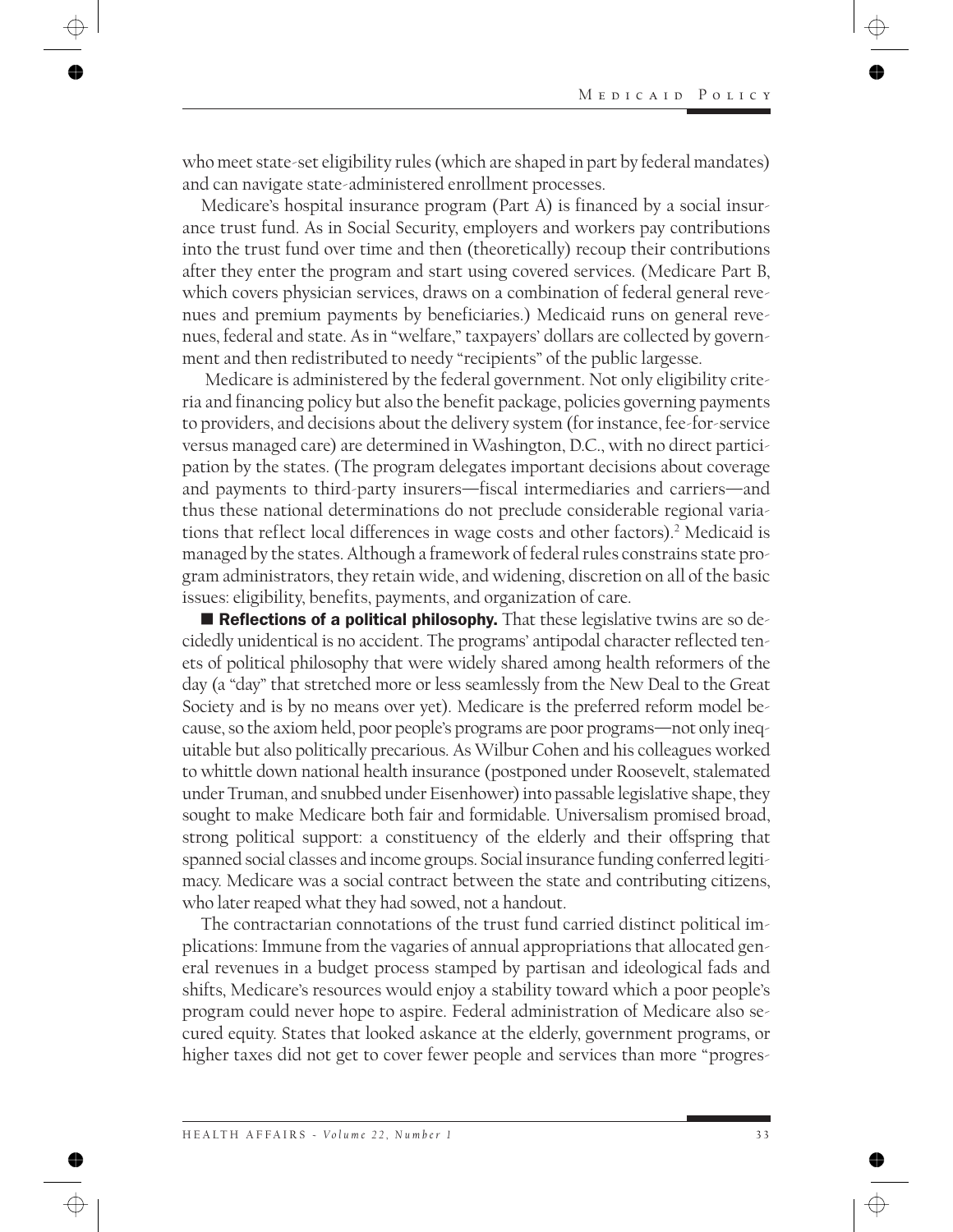who meet state-set eligibility rules (which are shaped in part by federal mandates) and can navigate state-administered enrollment processes.

Medicare's hospital insurance program (Part A) is financed by a social insurance trust fund. As in Social Security, employers and workers pay contributions into the trust fund over time and then (theoretically) recoup their contributions after they enter the program and start using covered services. (Medicare Part B, which covers physician services, draws on a combination of federal general revenues and premium payments by beneficiaries.) Medicaid runs on general revenues, federal and state. As in "welfare," taxpayers' dollars are collected by government and then redistributed to needy "recipients" of the public largesse.

Medicare is administered by the federal government. Not only eligibility criteria and financing policy but also the benefit package, policies governing payments to providers, and decisions about the delivery system (for instance, fee-for-service versus managed care) are determined in Washington, D.C., with no direct participation by the states. (The program delegates important decisions about coverage and payments to third-party insurers—fiscal intermediaries and carriers—and thus these national determinations do not preclude considerable regional variations that reflect local differences in wage costs and other factors).2 Medicaid is managed by the states. Although a framework of federal rules constrains state program administrators, they retain wide, and widening, discretion on all of the basic issues: eligibility, benefits, payments, and organization of care.

Reflections of a political philosophy. That these legislative twins are so decidedly unidentical is no accident. The programs' antipodal character reflected tenets of political philosophy that were widely shared among health reformers of the day (a "day" that stretched more or less seamlessly from the New Deal to the Great Society and is by no means over yet). Medicare is the preferred reform model because, so the axiom held, poor people's programs are poor programs—not only inequitable but also politically precarious. As Wilbur Cohen and his colleagues worked to whittle down national health insurance (postponed under Roosevelt, stalemated under Truman, and snubbed under Eisenhower) into passable legislative shape, they sought to make Medicare both fair and formidable. Universalism promised broad, strong political support: a constituency of the elderly and their offspring that spanned social classes and income groups. Social insurance funding conferred legitimacy. Medicare was a social contract between the state and contributing citizens, who later reaped what they had sowed, not a handout.

The contractarian connotations of the trust fund carried distinct political implications: Immune from the vagaries of annual appropriations that allocated general revenues in a budget process stamped by partisan and ideological fads and shifts, Medicare's resources would enjoy a stability toward which a poor people's program could never hope to aspire. Federal administration of Medicare also secured equity. States that looked askance at the elderly, government programs, or higher taxes did not get to cover fewer people and services than more "progres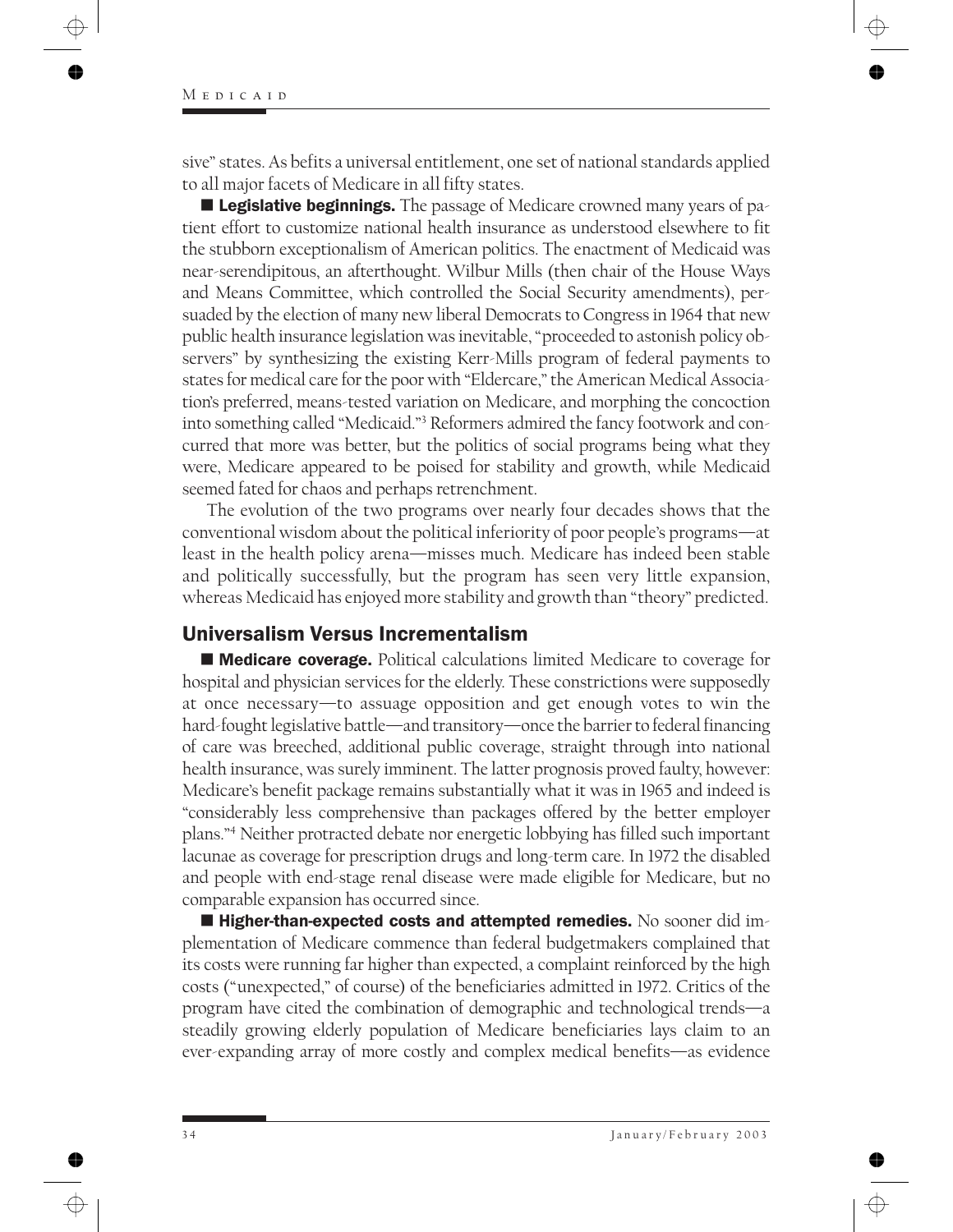sive" states. As befits a universal entitlement, one set of national standards applied to all major facets of Medicare in all fifty states.

**Legislative beginnings.** The passage of Medicare crowned many years of patient effort to customize national health insurance as understood elsewhere to fit the stubborn exceptionalism of American politics. The enactment of Medicaid was near-serendipitous, an afterthought. Wilbur Mills (then chair of the House Ways and Means Committee, which controlled the Social Security amendments), persuaded by the election of many new liberal Democrats to Congress in 1964 that new public health insurance legislation was inevitable, "proceeded to astonish policy observers" by synthesizing the existing Kerr-Mills program of federal payments to states for medical care for the poor with "Eldercare," the American Medical Association's preferred, means-tested variation on Medicare, and morphing the concoction into something called "Medicaid."3 Reformers admired the fancy footwork and concurred that more was better, but the politics of social programs being what they were, Medicare appeared to be poised for stability and growth, while Medicaid seemed fated for chaos and perhaps retrenchment.

The evolution of the two programs over nearly four decades shows that the conventional wisdom about the political inferiority of poor people's programs—at least in the health policy arena—misses much. Medicare has indeed been stable and politically successfully, but the program has seen very little expansion, whereas Medicaid has enjoyed more stability and growth than "theory" predicted.

# Universalism Versus Incrementalism

**Medicare coverage.** Political calculations limited Medicare to coverage for hospital and physician services for the elderly. These constrictions were supposedly at once necessary—to assuage opposition and get enough votes to win the hard-fought legislative battle—and transitory—once the barrier to federal financing of care was breeched, additional public coverage, straight through into national health insurance, was surely imminent. The latter prognosis proved faulty, however: Medicare's benefit package remains substantially what it was in 1965 and indeed is "considerably less comprehensive than packages offered by the better employer plans."4 Neither protracted debate nor energetic lobbying has filled such important lacunae as coverage for prescription drugs and long-term care. In 1972 the disabled and people with end-stage renal disease were made eligible for Medicare, but no comparable expansion has occurred since.

 $\blacksquare$  Higher-than-expected costs and attempted remedies. No sooner did implementation of Medicare commence than federal budgetmakers complained that its costs were running far higher than expected, a complaint reinforced by the high costs ("unexpected," of course) of the beneficiaries admitted in 1972. Critics of the program have cited the combination of demographic and technological trends—a steadily growing elderly population of Medicare beneficiaries lays claim to an ever-expanding array of more costly and complex medical benefits—as evidence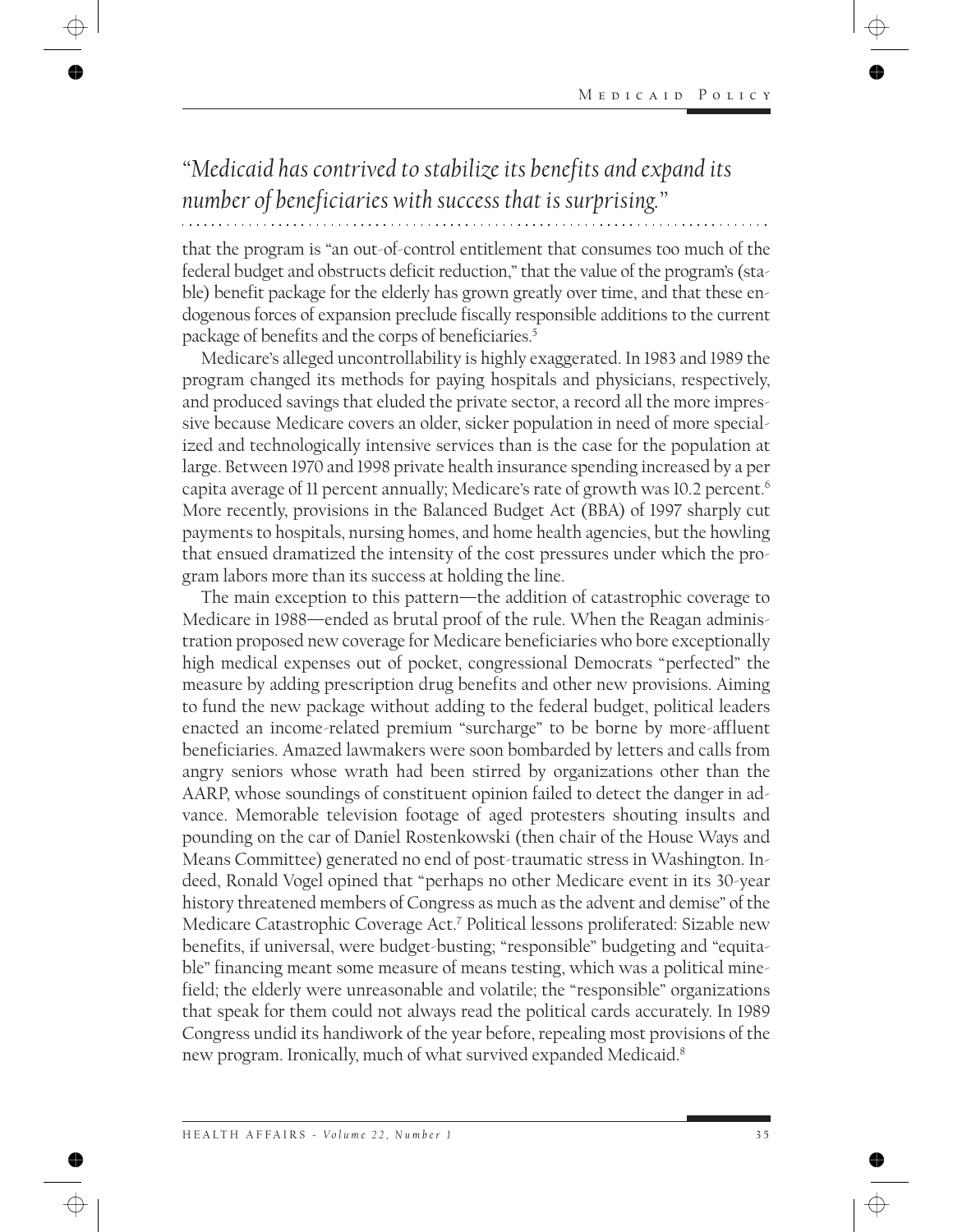# *"Medicaid has contrived to stabilize its benefits and expand its number of beneficiaries with success that is surprising."*

that the program is "an out-of-control entitlement that consumes too much of the federal budget and obstructs deficit reduction," that the value of the program's (stable) benefit package for the elderly has grown greatly over time, and that these endogenous forces of expansion preclude fiscally responsible additions to the current package of benefits and the corps of beneficiaries.5

Medicare's alleged uncontrollability is highly exaggerated. In 1983 and 1989 the program changed its methods for paying hospitals and physicians, respectively, and produced savings that eluded the private sector, a record all the more impressive because Medicare covers an older, sicker population in need of more specialized and technologically intensive services than is the case for the population at large. Between 1970 and 1998 private health insurance spending increased by a per capita average of 11 percent annually; Medicare's rate of growth was 10.2 percent.<sup>6</sup> More recently, provisions in the Balanced Budget Act (BBA) of 1997 sharply cut payments to hospitals, nursing homes, and home health agencies, but the howling that ensued dramatized the intensity of the cost pressures under which the program labors more than its success at holding the line.

The main exception to this pattern—the addition of catastrophic coverage to Medicare in 1988—ended as brutal proof of the rule. When the Reagan administration proposed new coverage for Medicare beneficiaries who bore exceptionally high medical expenses out of pocket, congressional Democrats "perfected" the measure by adding prescription drug benefits and other new provisions. Aiming to fund the new package without adding to the federal budget, political leaders enacted an income-related premium "surcharge" to be borne by more-affluent beneficiaries. Amazed lawmakers were soon bombarded by letters and calls from angry seniors whose wrath had been stirred by organizations other than the AARP, whose soundings of constituent opinion failed to detect the danger in advance. Memorable television footage of aged protesters shouting insults and pounding on the car of Daniel Rostenkowski (then chair of the House Ways and Means Committee) generated no end of post-traumatic stress in Washington. Indeed, Ronald Vogel opined that "perhaps no other Medicare event in its 30-year history threatened members of Congress as much as the advent and demise" of the Medicare Catastrophic Coverage Act.7 Political lessons proliferated: Sizable new benefits, if universal, were budget-busting; "responsible" budgeting and "equitable" financing meant some measure of means testing, which was a political minefield; the elderly were unreasonable and volatile; the "responsible" organizations that speak for them could not always read the political cards accurately. In 1989 Congress undid its handiwork of the year before, repealing most provisions of the new program. Ironically, much of what survived expanded Medicaid.8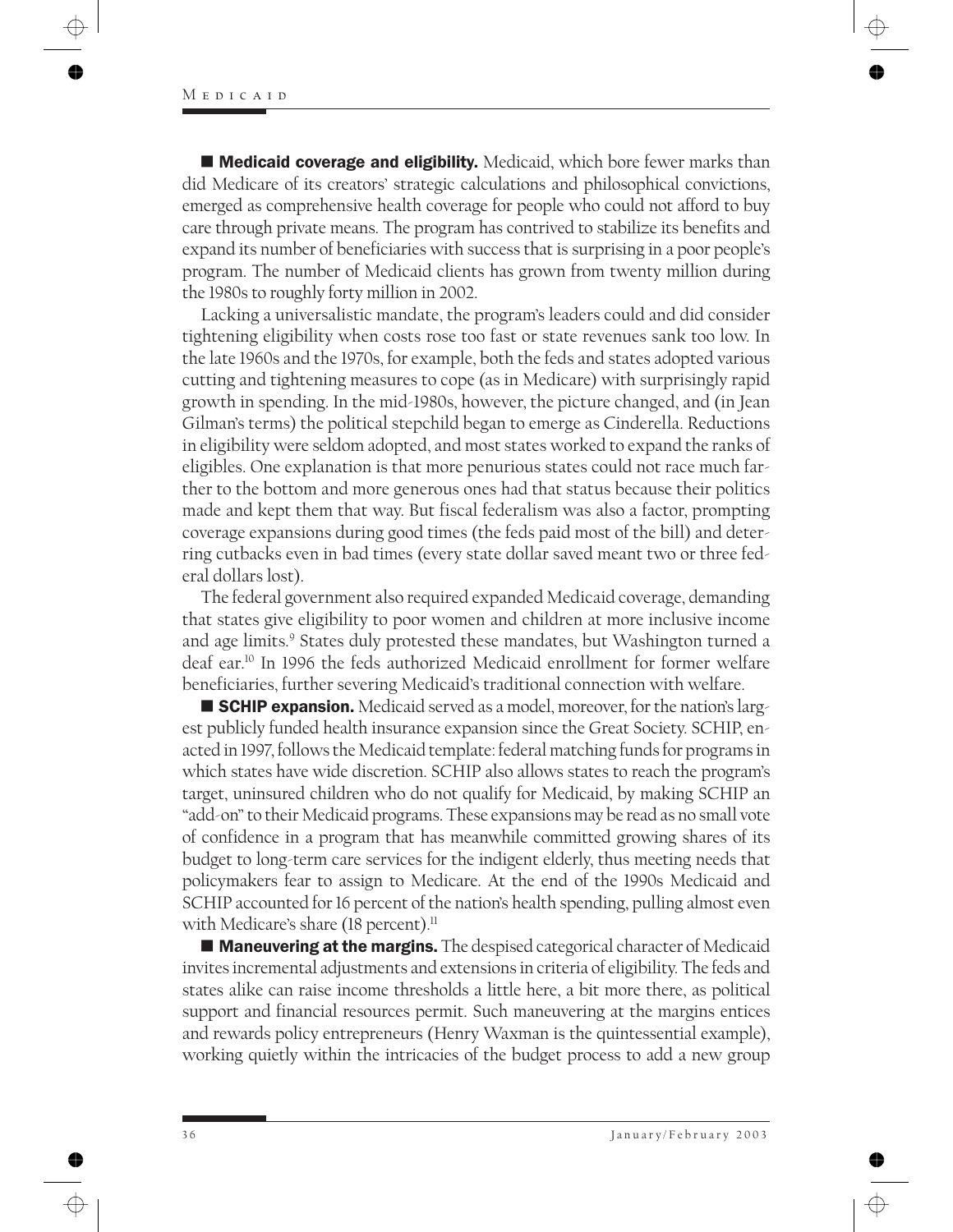■ Medicaid coverage and eligibility. Medicaid, which bore fewer marks than did Medicare of its creators' strategic calculations and philosophical convictions, emerged as comprehensive health coverage for people who could not afford to buy care through private means. The program has contrived to stabilize its benefits and expand its number of beneficiaries with success that is surprising in a poor people's program. The number of Medicaid clients has grown from twenty million during the 1980s to roughly forty million in 2002.

Lacking a universalistic mandate, the program's leaders could and did consider tightening eligibility when costs rose too fast or state revenues sank too low. In the late 1960s and the 1970s, for example, both the feds and states adopted various cutting and tightening measures to cope (as in Medicare) with surprisingly rapid growth in spending. In the mid-1980s, however, the picture changed, and (in Jean Gilman's terms) the political stepchild began to emerge as Cinderella. Reductions in eligibility were seldom adopted, and most states worked to expand the ranks of eligibles. One explanation is that more penurious states could not race much farther to the bottom and more generous ones had that status because their politics made and kept them that way. But fiscal federalism was also a factor, prompting coverage expansions during good times (the feds paid most of the bill) and deterring cutbacks even in bad times (every state dollar saved meant two or three federal dollars lost).

The federal government also required expanded Medicaid coverage, demanding that states give eligibility to poor women and children at more inclusive income and age limits.<sup>9</sup> States duly protested these mandates, but Washington turned a deaf ear.10 In 1996 the feds authorized Medicaid enrollment for former welfare beneficiaries, further severing Medicaid's traditional connection with welfare.

**SCHIP expansion.** Medicaid served as a model, moreover, for the nation's largest publicly funded health insurance expansion since the Great Society. SCHIP, enacted in 1997, follows the Medicaid template: federal matching funds for programs in which states have wide discretion. SCHIP also allows states to reach the program's target, uninsured children who do not qualify for Medicaid, by making SCHIP an "add-on" to their Medicaid programs. These expansions may be read as no small vote of confidence in a program that has meanwhile committed growing shares of its budget to long-term care services for the indigent elderly, thus meeting needs that policymakers fear to assign to Medicare. At the end of the 1990s Medicaid and SCHIP accounted for 16 percent of the nation's health spending, pulling almost even with Medicare's share (18 percent).<sup>11</sup>

**Maneuvering at the margins.** The despised categorical character of Medicaid invites incremental adjustments and extensions in criteria of eligibility. The feds and states alike can raise income thresholds a little here, a bit more there, as political support and financial resources permit. Such maneuvering at the margins entices and rewards policy entrepreneurs (Henry Waxman is the quintessential example), working quietly within the intricacies of the budget process to add a new group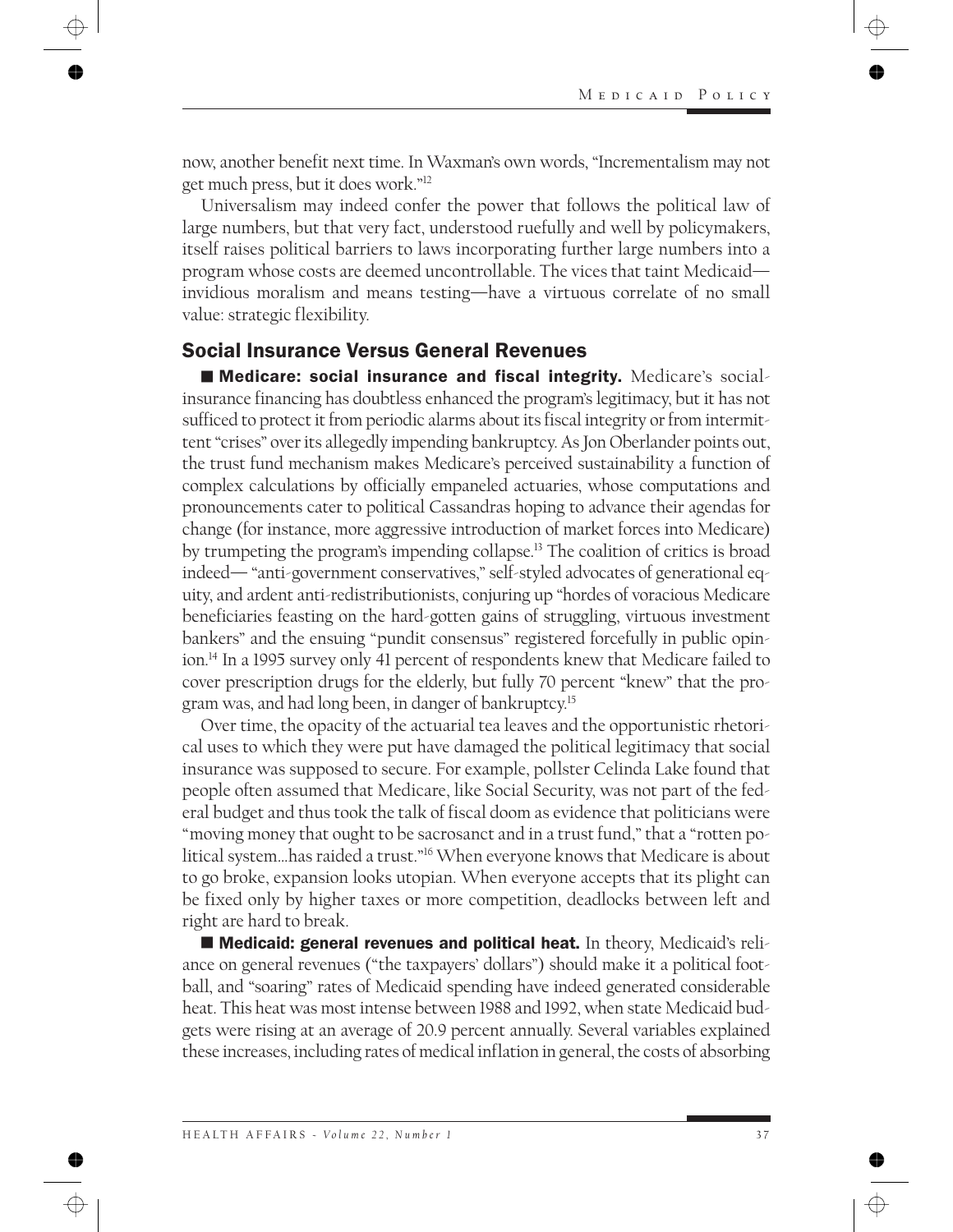now, another benefit next time. In Waxman's own words, "Incrementalism may not get much press, but it does work."12

Universalism may indeed confer the power that follows the political law of large numbers, but that very fact, understood ruefully and well by policymakers, itself raises political barriers to laws incorporating further large numbers into a program whose costs are deemed uncontrollable. The vices that taint Medicaid invidious moralism and means testing—have a virtuous correlate of no small value: strategic flexibility.

### Social Insurance Versus General Revenues

■ Medicare: social insurance and fiscal integrity. Medicare's socialinsurance financing has doubtless enhanced the program's legitimacy, but it has not sufficed to protect it from periodic alarms about its fiscal integrity or from intermittent "crises" over its allegedly impending bankruptcy. As Jon Oberlander points out, the trust fund mechanism makes Medicare's perceived sustainability a function of complex calculations by officially empaneled actuaries, whose computations and pronouncements cater to political Cassandras hoping to advance their agendas for change (for instance, more aggressive introduction of market forces into Medicare) by trumpeting the program's impending collapse.13 The coalition of critics is broad indeed— "anti-government conservatives," self-styled advocates of generational equity, and ardent anti-redistributionists, conjuring up "hordes of voracious Medicare beneficiaries feasting on the hard-gotten gains of struggling, virtuous investment bankers" and the ensuing "pundit consensus" registered forcefully in public opinion.14 In a 1995 survey only 41 percent of respondents knew that Medicare failed to cover prescription drugs for the elderly, but fully 70 percent "knew" that the program was, and had long been, in danger of bankruptcy.15

Over time, the opacity of the actuarial tea leaves and the opportunistic rhetorical uses to which they were put have damaged the political legitimacy that social insurance was supposed to secure. For example, pollster Celinda Lake found that people often assumed that Medicare, like Social Security, was not part of the federal budget and thus took the talk of fiscal doom as evidence that politicians were "moving money that ought to be sacrosanct and in a trust fund," that a "rotten political system…has raided a trust."16 When everyone knows that Medicare is about to go broke, expansion looks utopian. When everyone accepts that its plight can be fixed only by higher taxes or more competition, deadlocks between left and right are hard to break.

■ Medicaid: general revenues and political heat. In theory, Medicaid's reliance on general revenues ("the taxpayers' dollars") should make it a political football, and "soaring" rates of Medicaid spending have indeed generated considerable heat. This heat was most intense between 1988 and 1992, when state Medicaid budgets were rising at an average of 20.9 percent annually. Several variables explained these increases, including rates of medical inflation in general, the costs of absorbing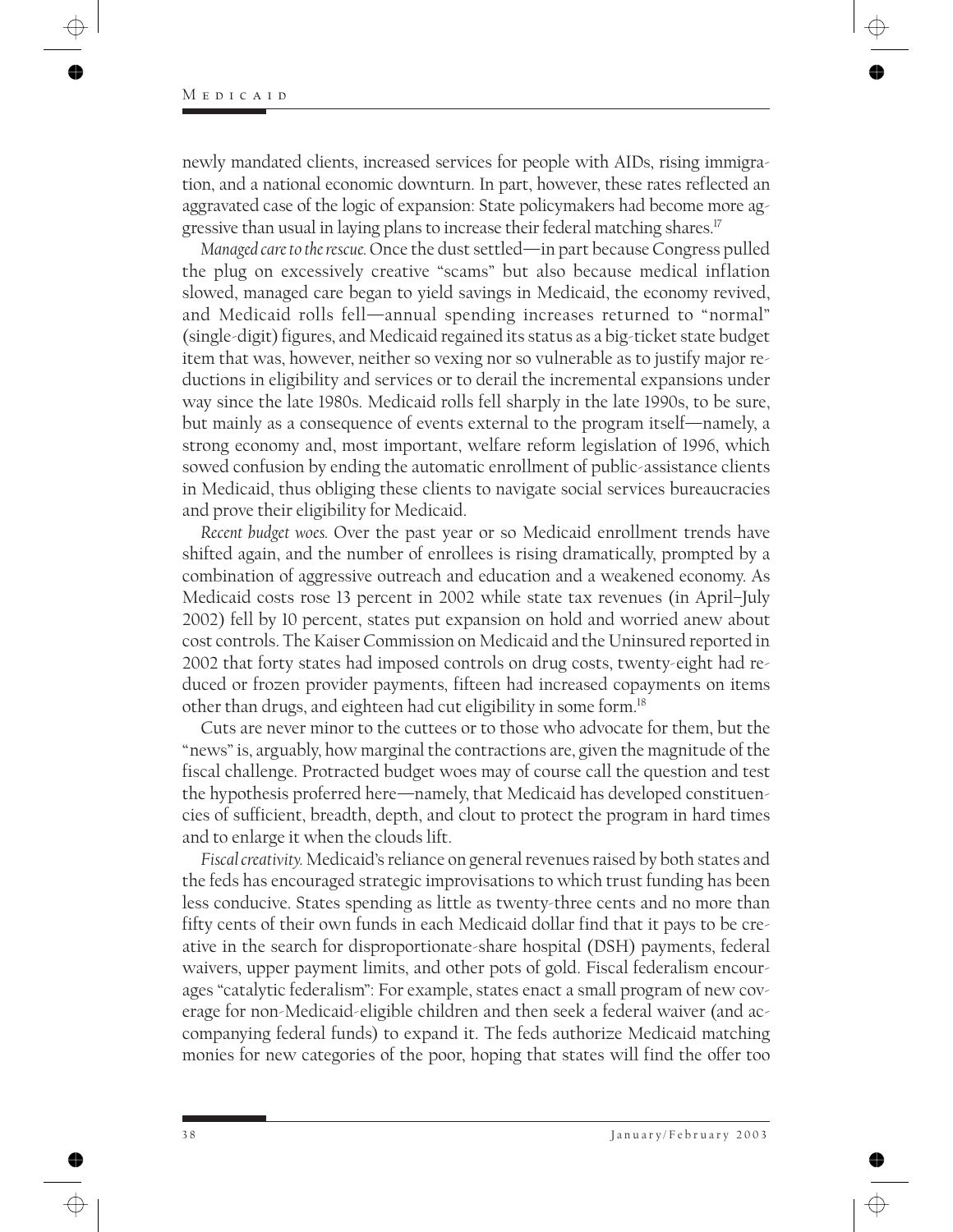newly mandated clients, increased services for people with AIDs, rising immigration, and a national economic downturn. In part, however, these rates reflected an aggravated case of the logic of expansion: State policymakers had become more aggressive than usual in laying plans to increase their federal matching shares.<sup>17</sup>

*Managed care to the rescue.* Once the dust settled—in part because Congress pulled the plug on excessively creative "scams" but also because medical inflation slowed, managed care began to yield savings in Medicaid, the economy revived, and Medicaid rolls fell—annual spending increases returned to "normal" (single-digit) figures, and Medicaid regained its status as a big-ticket state budget item that was, however, neither so vexing nor so vulnerable as to justify major reductions in eligibility and services or to derail the incremental expansions under way since the late 1980s. Medicaid rolls fell sharply in the late 1990s, to be sure, but mainly as a consequence of events external to the program itself—namely, a strong economy and, most important, welfare reform legislation of 1996, which sowed confusion by ending the automatic enrollment of public-assistance clients in Medicaid, thus obliging these clients to navigate social services bureaucracies and prove their eligibility for Medicaid.

*Recent budget woes.* Over the past year or so Medicaid enrollment trends have shifted again, and the number of enrollees is rising dramatically, prompted by a combination of aggressive outreach and education and a weakened economy. As Medicaid costs rose 13 percent in 2002 while state tax revenues (in April–July 2002) fell by 10 percent, states put expansion on hold and worried anew about cost controls. The Kaiser Commission on Medicaid and the Uninsured reported in 2002 that forty states had imposed controls on drug costs, twenty-eight had reduced or frozen provider payments, fifteen had increased copayments on items other than drugs, and eighteen had cut eligibility in some form.18

Cuts are never minor to the cuttees or to those who advocate for them, but the "news" is, arguably, how marginal the contractions are, given the magnitude of the fiscal challenge. Protracted budget woes may of course call the question and test the hypothesis proferred here—namely, that Medicaid has developed constituencies of sufficient, breadth, depth, and clout to protect the program in hard times and to enlarge it when the clouds lift.

*Fiscal creativity.* Medicaid's reliance on general revenues raised by both states and the feds has encouraged strategic improvisations to which trust funding has been less conducive. States spending as little as twenty-three cents and no more than fifty cents of their own funds in each Medicaid dollar find that it pays to be creative in the search for disproportionate-share hospital (DSH) payments, federal waivers, upper payment limits, and other pots of gold. Fiscal federalism encourages "catalytic federalism": For example, states enact a small program of new coverage for non-Medicaid-eligible children and then seek a federal waiver (and accompanying federal funds) to expand it. The feds authorize Medicaid matching monies for new categories of the poor, hoping that states will find the offer too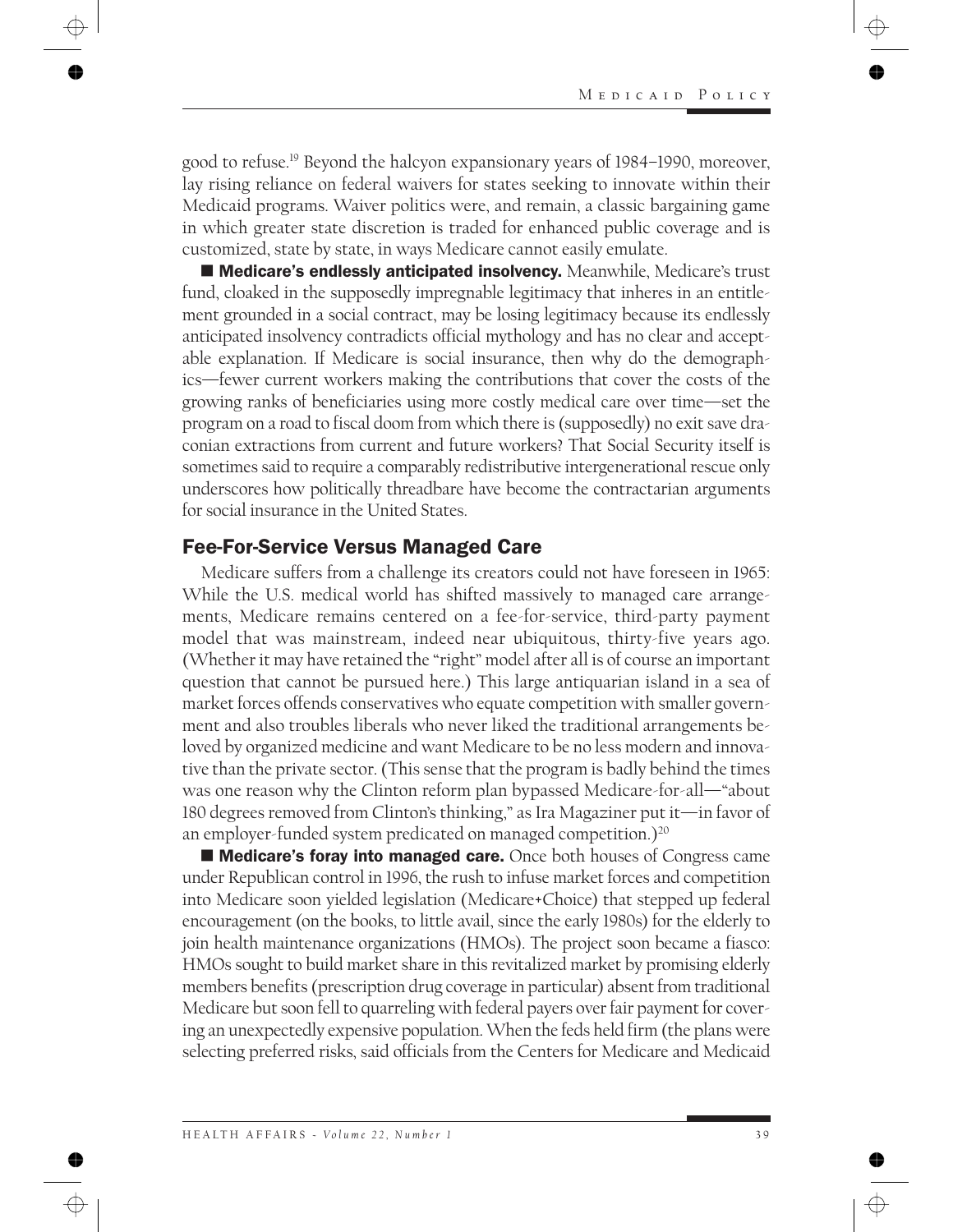good to refuse.19 Beyond the halcyon expansionary years of 1984–1990, moreover, lay rising reliance on federal waivers for states seeking to innovate within their Medicaid programs. Waiver politics were, and remain, a classic bargaining game in which greater state discretion is traded for enhanced public coverage and is customized, state by state, in ways Medicare cannot easily emulate.

■ Medicare's endlessly anticipated insolvency. Meanwhile, Medicare's trust fund, cloaked in the supposedly impregnable legitimacy that inheres in an entitlement grounded in a social contract, may be losing legitimacy because its endlessly anticipated insolvency contradicts official mythology and has no clear and acceptable explanation. If Medicare is social insurance, then why do the demographics—fewer current workers making the contributions that cover the costs of the growing ranks of beneficiaries using more costly medical care over time—set the program on a road to fiscal doom from which there is (supposedly) no exit save draconian extractions from current and future workers? That Social Security itself is sometimes said to require a comparably redistributive intergenerational rescue only underscores how politically threadbare have become the contractarian arguments for social insurance in the United States.

### Fee-For-Service Versus Managed Care

Medicare suffers from a challenge its creators could not have foreseen in 1965: While the U.S. medical world has shifted massively to managed care arrangements, Medicare remains centered on a fee-for-service, third-party payment model that was mainstream, indeed near ubiquitous, thirty-five years ago. (Whether it may have retained the "right" model after all is of course an important question that cannot be pursued here.) This large antiquarian island in a sea of market forces offends conservatives who equate competition with smaller government and also troubles liberals who never liked the traditional arrangements beloved by organized medicine and want Medicare to be no less modern and innovative than the private sector. (This sense that the program is badly behind the times was one reason why the Clinton reform plan bypassed Medicare-for-all—"about 180 degrees removed from Clinton's thinking," as Ira Magaziner put it—in favor of an employer-funded system predicated on managed competition.)<sup>20</sup>

■ Medicare's foray into managed care. Once both houses of Congress came under Republican control in 1996, the rush to infuse market forces and competition into Medicare soon yielded legislation (Medicare+Choice) that stepped up federal encouragement (on the books, to little avail, since the early 1980s) for the elderly to join health maintenance organizations (HMOs). The project soon became a fiasco: HMOs sought to build market share in this revitalized market by promising elderly members benefits (prescription drug coverage in particular) absent from traditional Medicare but soon fell to quarreling with federal payers over fair payment for covering an unexpectedly expensive population. When the feds held firm (the plans were selecting preferred risks, said officials from the Centers for Medicare and Medicaid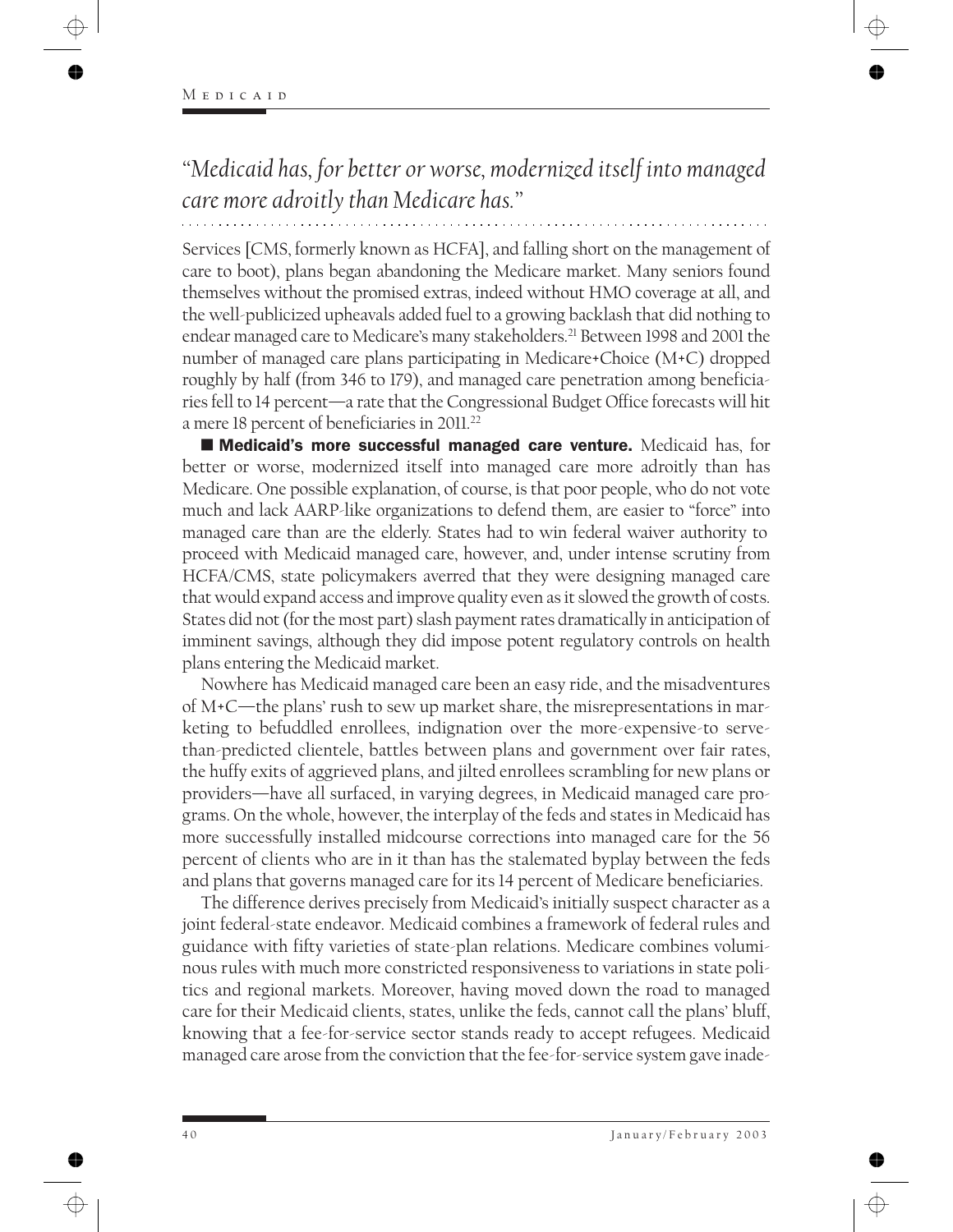*"Medicaid has, for better or worse, modernized itself into managed care more adroitly than Medicare has."*

Services [CMS, formerly known as HCFA], and falling short on the management of care to boot), plans began abandoning the Medicare market. Many seniors found themselves without the promised extras, indeed without HMO coverage at all, and the well-publicized upheavals added fuel to a growing backlash that did nothing to endear managed care to Medicare's many stakeholders.<sup>21</sup> Between 1998 and 2001 the number of managed care plans participating in Medicare+Choice (M+C) dropped roughly by half (from 346 to 179), and managed care penetration among beneficiaries fell to 14 percent—a rate that the Congressional Budget Office forecasts will hit a mere 18 percent of beneficiaries in 2011.22

 Medicaid's more successful managed care venture. Medicaid has, for better or worse, modernized itself into managed care more adroitly than has Medicare. One possible explanation, of course, is that poor people, who do not vote much and lack AARP-like organizations to defend them, are easier to "force" into managed care than are the elderly. States had to win federal waiver authority to proceed with Medicaid managed care, however, and, under intense scrutiny from HCFA/CMS, state policymakers averred that they were designing managed care that would expand access and improve quality even as it slowed the growth of costs. States did not (for the most part) slash payment rates dramatically in anticipation of imminent savings, although they did impose potent regulatory controls on health plans entering the Medicaid market.

Nowhere has Medicaid managed care been an easy ride, and the misadventures of M+C—the plans' rush to sew up market share, the misrepresentations in marketing to befuddled enrollees, indignation over the more-expensive-to servethan-predicted clientele, battles between plans and government over fair rates, the huffy exits of aggrieved plans, and jilted enrollees scrambling for new plans or providers—have all surfaced, in varying degrees, in Medicaid managed care programs. On the whole, however, the interplay of the feds and states in Medicaid has more successfully installed midcourse corrections into managed care for the 56 percent of clients who are in it than has the stalemated byplay between the feds and plans that governs managed care for its 14 percent of Medicare beneficiaries.

The difference derives precisely from Medicaid's initially suspect character as a joint federal-state endeavor. Medicaid combines a framework of federal rules and guidance with fifty varieties of state-plan relations. Medicare combines voluminous rules with much more constricted responsiveness to variations in state politics and regional markets. Moreover, having moved down the road to managed care for their Medicaid clients, states, unlike the feds, cannot call the plans' bluff, knowing that a fee-for-service sector stands ready to accept refugees. Medicaid managed care arose from the conviction that the fee-for-service system gave inade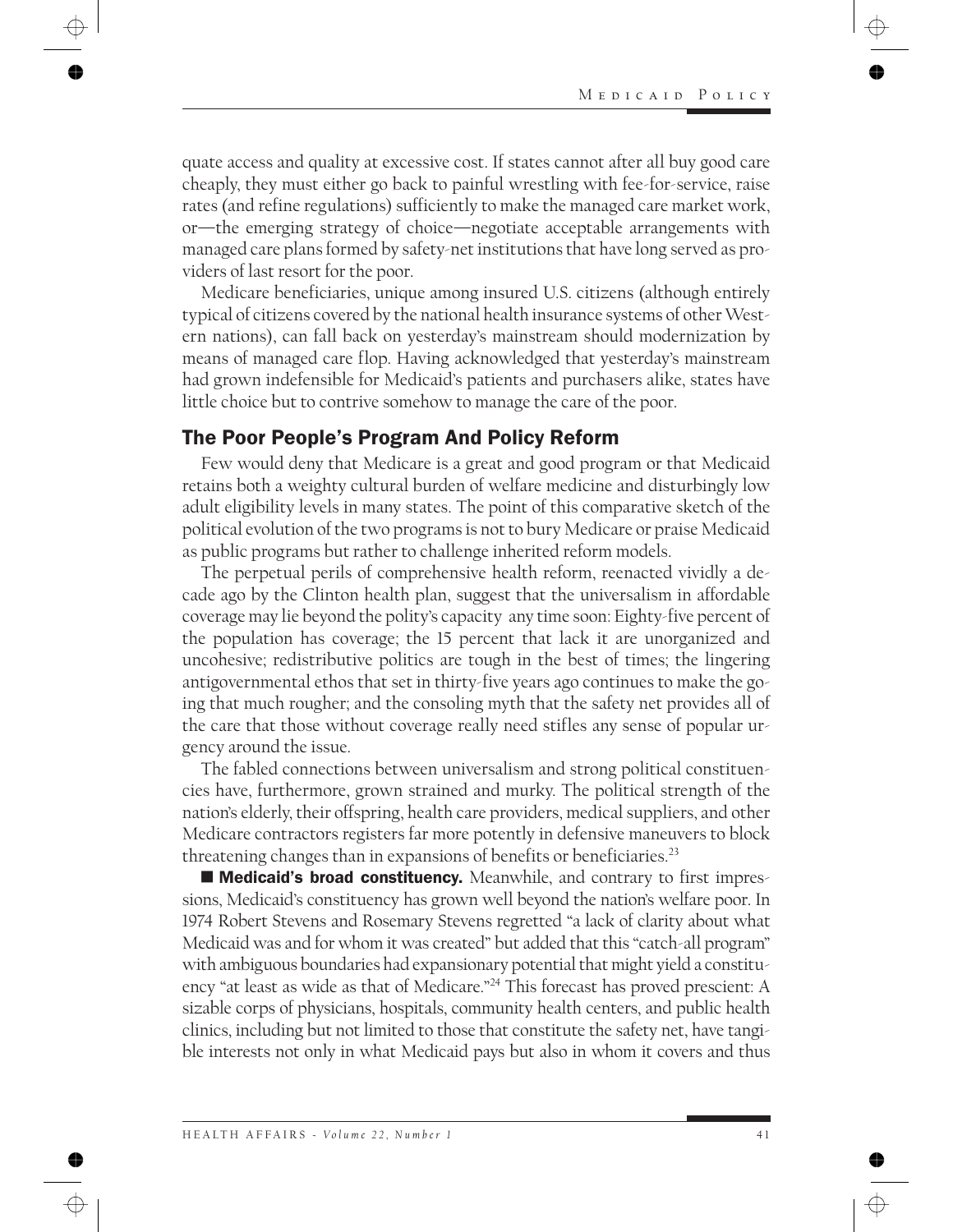quate access and quality at excessive cost. If states cannot after all buy good care cheaply, they must either go back to painful wrestling with fee-for-service, raise rates (and refine regulations) sufficiently to make the managed care market work, or—the emerging strategy of choice—negotiate acceptable arrangements with managed care plans formed by safety-net institutions that have long served as providers of last resort for the poor.

Medicare beneficiaries, unique among insured U.S. citizens (although entirely typical of citizens covered by the national health insurance systems of other Western nations), can fall back on yesterday's mainstream should modernization by means of managed care flop. Having acknowledged that yesterday's mainstream had grown indefensible for Medicaid's patients and purchasers alike, states have little choice but to contrive somehow to manage the care of the poor.

## The Poor People's Program And Policy Reform

Few would deny that Medicare is a great and good program or that Medicaid retains both a weighty cultural burden of welfare medicine and disturbingly low adult eligibility levels in many states. The point of this comparative sketch of the political evolution of the two programs is not to bury Medicare or praise Medicaid as public programs but rather to challenge inherited reform models.

The perpetual perils of comprehensive health reform, reenacted vividly a decade ago by the Clinton health plan, suggest that the universalism in affordable coverage may lie beyond the polity's capacity any time soon: Eighty-five percent of the population has coverage; the 15 percent that lack it are unorganized and uncohesive; redistributive politics are tough in the best of times; the lingering antigovernmental ethos that set in thirty-five years ago continues to make the going that much rougher; and the consoling myth that the safety net provides all of the care that those without coverage really need stifles any sense of popular urgency around the issue.

The fabled connections between universalism and strong political constituencies have, furthermore, grown strained and murky. The political strength of the nation's elderly, their offspring, health care providers, medical suppliers, and other Medicare contractors registers far more potently in defensive maneuvers to block threatening changes than in expansions of benefits or beneficiaries.23

■ Medicaid's broad constituency. Meanwhile, and contrary to first impressions, Medicaid's constituency has grown well beyond the nation's welfare poor. In 1974 Robert Stevens and Rosemary Stevens regretted "a lack of clarity about what Medicaid was and for whom it was created" but added that this "catch-all program" with ambiguous boundaries had expansionary potential that might yield a constituency "at least as wide as that of Medicare."24 This forecast has proved prescient: A sizable corps of physicians, hospitals, community health centers, and public health clinics, including but not limited to those that constitute the safety net, have tangible interests not only in what Medicaid pays but also in whom it covers and thus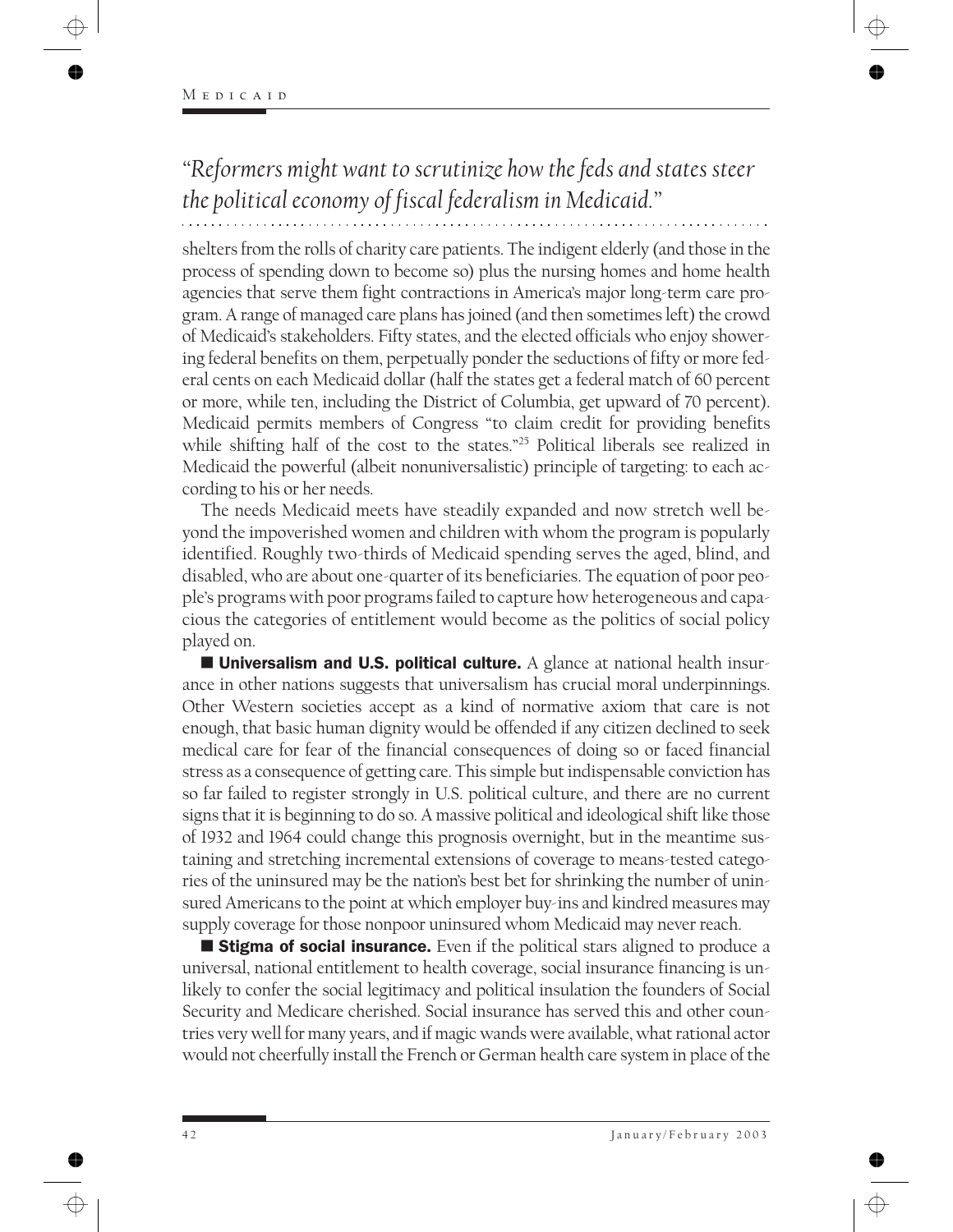*"Reformers might want to scrutinize how the feds and states steer the political economy of fiscal federalism in Medicaid."*

shelters from the rolls of charity care patients. The indigent elderly (and those in the process of spending down to become so) plus the nursing homes and home health agencies that serve them fight contractions in America's major long-term care program. A range of managed care plans has joined (and then sometimes left) the crowd of Medicaid's stakeholders. Fifty states, and the elected officials who enjoy showering federal benefits on them, perpetually ponder the seductions of fifty or more federal cents on each Medicaid dollar (half the states get a federal match of 60 percent or more, while ten, including the District of Columbia, get upward of 70 percent). Medicaid permits members of Congress "to claim credit for providing benefits while shifting half of the cost to the states."<sup>25</sup> Political liberals see realized in Medicaid the powerful (albeit nonuniversalistic) principle of targeting: to each according to his or her needs.

The needs Medicaid meets have steadily expanded and now stretch well beyond the impoverished women and children with whom the program is popularly identified. Roughly two-thirds of Medicaid spending serves the aged, blind, and disabled, who are about one-quarter of its beneficiaries. The equation of poor people's programs with poor programs failed to capture how heterogeneous and capacious the categories of entitlement would become as the politics of social policy played on.

**Universalism and U.S. political culture.** A glance at national health insurance in other nations suggests that universalism has crucial moral underpinnings. Other Western societies accept as a kind of normative axiom that care is not enough, that basic human dignity would be offended if any citizen declined to seek medical care for fear of the financial consequences of doing so or faced financial stress as a consequence of getting care. This simple but indispensable conviction has so far failed to register strongly in U.S. political culture, and there are no current signs that it is beginning to do so. A massive political and ideological shift like those of 1932 and 1964 could change this prognosis overnight, but in the meantime sustaining and stretching incremental extensions of coverage to means-tested categories of the uninsured may be the nation's best bet for shrinking the number of uninsured Americans to the point at which employer buy-ins and kindred measures may supply coverage for those nonpoor uninsured whom Medicaid may never reach.

**Stigma of social insurance.** Even if the political stars aligned to produce a universal, national entitlement to health coverage, social insurance financing is unlikely to confer the social legitimacy and political insulation the founders of Social Security and Medicare cherished. Social insurance has served this and other countries very well for many years, and if magic wands were available, what rational actor would not cheerfully install the French or German health care system in place of the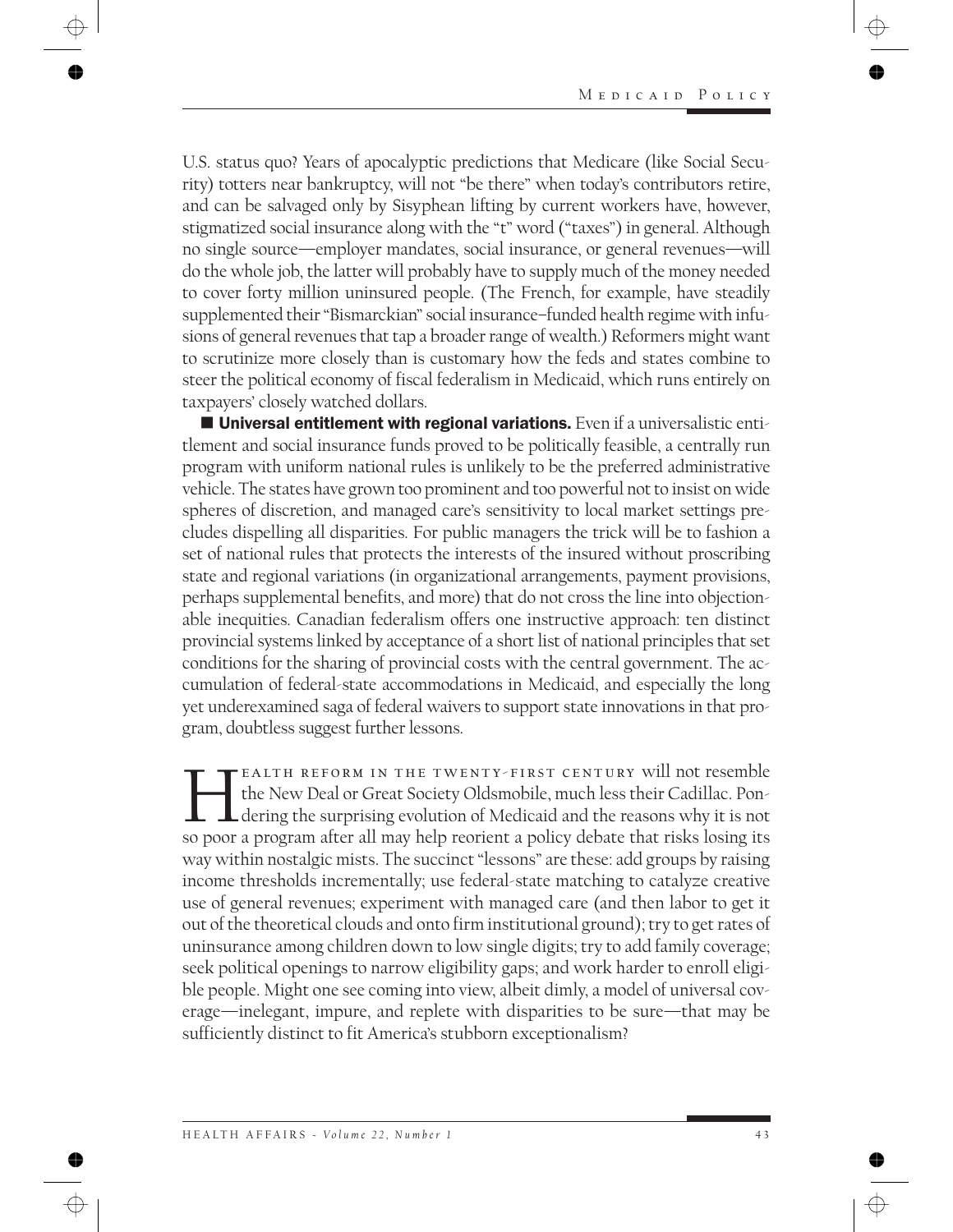U.S. status quo? Years of apocalyptic predictions that Medicare (like Social Security) totters near bankruptcy, will not "be there" when today's contributors retire, and can be salvaged only by Sisyphean lifting by current workers have, however, stigmatized social insurance along with the "t" word ("taxes") in general. Although no single source—employer mandates, social insurance, or general revenues—will do the whole job, the latter will probably have to supply much of the money needed to cover forty million uninsured people. (The French, for example, have steadily supplemented their "Bismarckian" social insurance–funded health regime with infusions of general revenues that tap a broader range of wealth.) Reformers might want to scrutinize more closely than is customary how the feds and states combine to steer the political economy of fiscal federalism in Medicaid, which runs entirely on taxpayers' closely watched dollars.

**Universal entitlement with regional variations.** Even if a universalistic entitlement and social insurance funds proved to be politically feasible, a centrally run program with uniform national rules is unlikely to be the preferred administrative vehicle. The states have grown too prominent and too powerful not to insist on wide spheres of discretion, and managed care's sensitivity to local market settings precludes dispelling all disparities. For public managers the trick will be to fashion a set of national rules that protects the interests of the insured without proscribing state and regional variations (in organizational arrangements, payment provisions, perhaps supplemental benefits, and more) that do not cross the line into objectionable inequities. Canadian federalism offers one instructive approach: ten distinct provincial systems linked by acceptance of a short list of national principles that set conditions for the sharing of provincial costs with the central government. The accumulation of federal-state accommodations in Medicaid, and especially the long yet underexamined saga of federal waivers to support state innovations in that program, doubtless suggest further lessons.

EALTH REFORM IN THE TWENTY-FIRST CENTURY will not resemble the New Deal or Great Society Oldsmobile, much less their Cadillac. Pondering the surprising evolution of Medicaid and the reasons why it is not so poor a program after all may help reorient a policy debate that risks losing its way within nostalgic mists. The succinct "lessons" are these: add groups by raising income thresholds incrementally; use federal-state matching to catalyze creative use of general revenues; experiment with managed care (and then labor to get it out of the theoretical clouds and onto firm institutional ground); try to get rates of uninsurance among children down to low single digits; try to add family coverage; seek political openings to narrow eligibility gaps; and work harder to enroll eligible people. Might one see coming into view, albeit dimly, a model of universal coverage—inelegant, impure, and replete with disparities to be sure—that may be sufficiently distinct to fit America's stubborn exceptionalism?